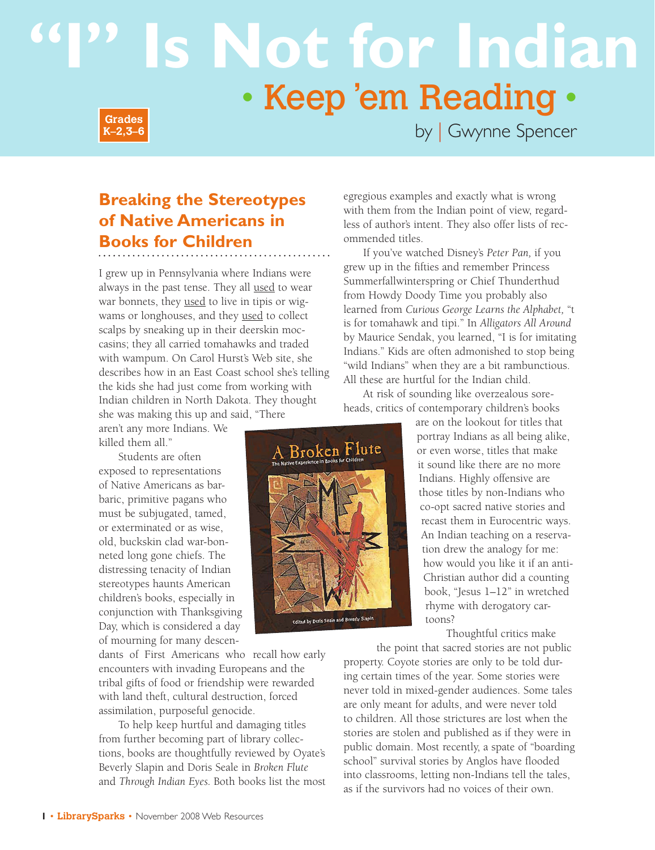# **Is Not for Indian** • Keep 'em Reading • **Grades**



by | Gwynne Spencer

## **Breaking the Stereotypes of Native Americans in Books for Children**

I grew up in Pennsylvania where Indians were always in the past tense. They all used to wear war bonnets, they used to live in tipis or wigwams or longhouses, and they used to collect scalps by sneaking up in their deerskin moccasins; they all carried tomahawks and traded with wampum. On Carol Hurst's Web site, she describes how in an East Coast school she's telling the kids she had just come from working with Indian children in North Dakota. They thought she was making this up and said, "There

aren't any more Indians. We killed them all."

Students are often exposed to representations of Native Americans as barbaric, primitive pagans who must be subjugated, tamed, or exterminated or as wise, old, buckskin clad war-bonneted long gone chiefs. The distressing tenacity of Indian stereotypes haunts American children's books, especially in conjunction with Thanksgiving Day, which is considered a day of mourning for many descen-

dants of First Americans who recall how early encounters with invading Europeans and the tribal gifts of food or friendship were rewarded with land theft, cultural destruction, forced assimilation, purposeful genocide.

To help keep hurtful and damaging titles from further becoming part of library collections, books are thoughtfully reviewed by Oyate's Beverly Slapin and Doris Seale in *Broken Flute* and *Through Indian Eyes.* Both books list the most egregious examples and exactly what is wrong with them from the Indian point of view, regardless of author's intent. They also offer lists of recommended titles.

If you've watched Disney's *Peter Pan,* if you grew up in the fifties and remember Princess Summerfallwinterspring or Chief Thunderthud from Howdy Doody Time you probably also learned from *Curious George Learns the Alphabet,* "t is for tomahawk and tipi." In *Alligators All Around* by Maurice Sendak, you learned, "I is for imitating Indians." Kids are often admonished to stop being "wild Indians" when they are a bit rambunctious. All these are hurtful for the Indian child.

At risk of sounding like overzealous soreheads, critics of contemporary children's books



Thoughtful critics make

the point that sacred stories are not public property. Coyote stories are only to be told during certain times of the year. Some stories were never told in mixed-gender audiences. Some tales are only meant for adults, and were never told to children. All those strictures are lost when the stories are stolen and published as if they were in public domain. Most recently, a spate of "boarding school" survival stories by Anglos have flooded into classrooms, letting non-Indians tell the tales, as if the survivors had no voices of their own.

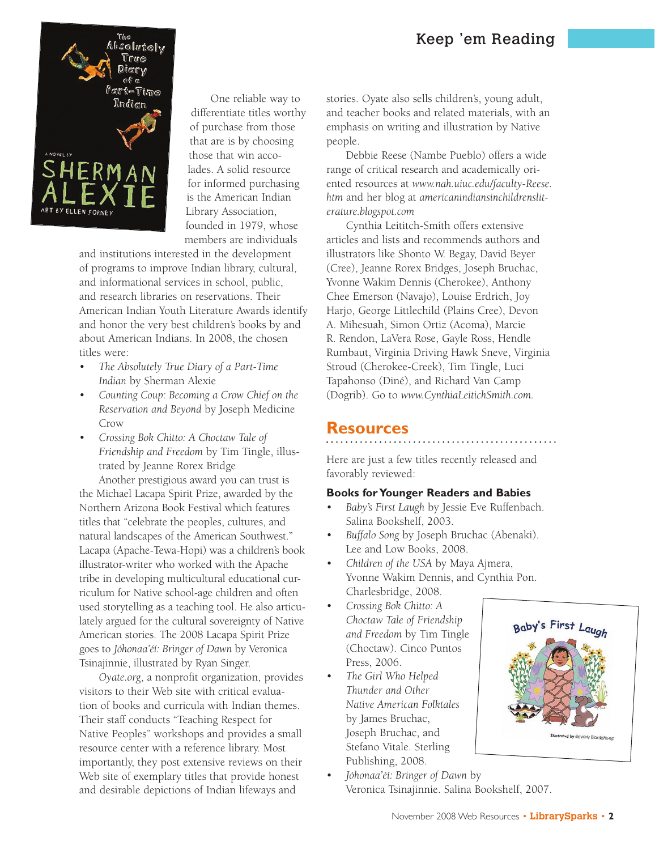

One reliable way to differentiate titles worthy of purchase from those that are is by choosing those that win accolades. A solid resource for informed purchasing is the American Indian Library Association, founded in 1979, whose members are individuals

and institutions interested in the development of programs to improve Indian library, cultural, and informational services in school, public, and research libraries on reservations. Their American Indian Youth Literature Awards identify and honor the very best children's books by and about American Indians. In 2008, the chosen titles were:

- *The Absolutely True Diary of a Part-Time Indian* by Sherman Alexie
- *Counting Coup: Becoming a Crow Chief on the Reservation and Beyond* by Joseph Medicine Crow
- *Crossing Bok Chitto: A Choctaw Tale of Friendship and Freedom* by Tim Tingle, illustrated by Jeanne Rorex Bridge

Another prestigious award you can trust is the Michael Lacapa Spirit Prize, awarded by the Northern Arizona Book Festival which features titles that "celebrate the peoples, cultures, and natural landscapes of the American Southwest." Lacapa (Apache-Tewa-Hopi) was a children's book illustrator-writer who worked with the Apache tribe in developing multicultural educational curriculum for Native school-age children and often used storytelling as a teaching tool. He also articulately argued for the cultural sovereignty of Native American stories. The 2008 Lacapa Spirit Prize goes to *Jóhonaa'éí: Bringer of Dawn* by Veronica Tsinajinnie, illustrated by Ryan Singer.

*Oyate.org*, a nonprofit organization, provides visitors to their Web site with critical evaluation of books and curricula with Indian themes. Their staff conducts "Teaching Respect for Native Peoples" workshops and provides a small resource center with a reference library. Most importantly, they post extensive reviews on their Web site of exemplary titles that provide honest and desirable depictions of Indian lifeways and

stories. Oyate also sells children's, young adult, and teacher books and related materials, with an emphasis on writing and illustration by Native people.

Debbie Reese (Nambe Pueblo) offers a wide range of critical research and academically oriented resources at *www.nah.uiuc.edu/faculty-Reese. htm* and her blog at *americanindiansinchildrensliterature.blogspot.com*

Cynthia Leititch-Smith offers extensive articles and lists and recommends authors and illustrators like Shonto W. Begay, David Beyer (Cree), Jeanne Rorex Bridges, Joseph Bruchac, Yvonne Wakim Dennis (Cherokee), Anthony Chee Emerson (Navajo), Louise Erdrich, Joy Harjo, George Littlechild (Plains Cree), Devon A. Mihesuah, Simon Ortiz (Acoma), Marcie R. Rendon, LaVera Rose, Gayle Ross, Hendle Rumbaut, Virginia Driving Hawk Sneve, Virginia Stroud (Cherokee-Creek), Tim Tingle, Luci Tapahonso (Diné), and Richard Van Camp (Dogrib). Go to *www.CynthiaLeitichSmith.com.*

## **Resources**

Here are just a few titles recently released and favorably reviewed:

## **Books for Younger Readers and Babies**

- *Baby's First Laugh* by Jessie Eve Ruffenbach. Salina Bookshelf, 2003.
- *Buffalo Song* by Joseph Bruchac (Abenaki). Lee and Low Books, 2008.
- *Children of the USA* by Maya Ajmera, Yvonne Wakim Dennis, and Cynthia Pon. Charlesbridge, 2008.
- *Crossing Bok Chitto: A Choctaw Tale of Friendship and Freedom* by Tim Tingle (Choctaw). Cinco Puntos Press, 2006.
- *The Girl Who Helped Thunder and Other Native American Folktales* by James Bruchac, Joseph Bruchac, and Stefano Vitale. Sterling Publishing, 2008.
- Baby's First Lar
- *Jóhonaa'éí: Bringer of Dawn* by Veronica Tsinajinnie. Salina Bookshelf, 2007.